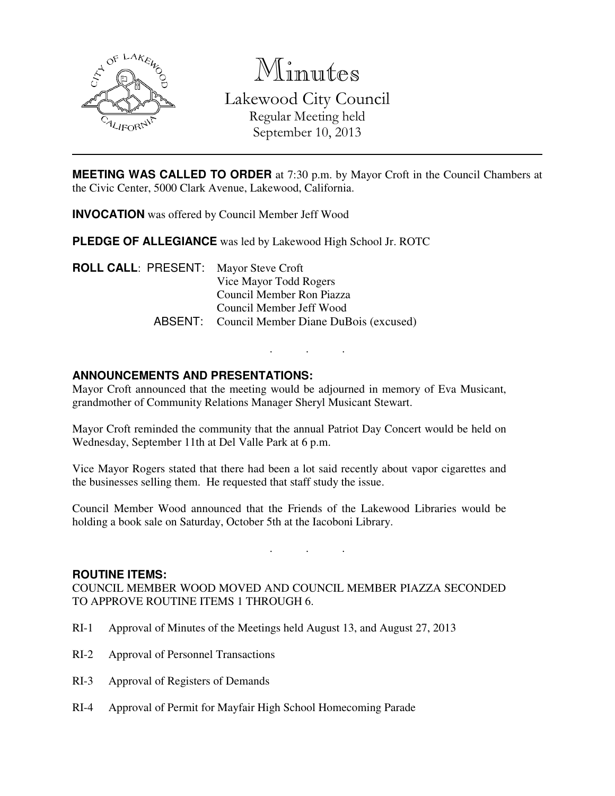

Minutes Lakewood City Council Regular Meeting held September 10, 2013

**MEETING WAS CALLED TO ORDER** at 7:30 p.m. by Mayor Croft in the Council Chambers at the Civic Center, 5000 Clark Avenue, Lakewood, California.

**INVOCATION** was offered by Council Member Jeff Wood

**PLEDGE OF ALLEGIANCE** was led by Lakewood High School Jr. ROTC

**ROLL CALL**: PRESENT: Mayor Steve Croft Vice Mayor Todd Rogers Council Member Ron Piazza Council Member Jeff Wood ABSENT: Council Member Diane DuBois (excused)

# **ANNOUNCEMENTS AND PRESENTATIONS:**

Mayor Croft announced that the meeting would be adjourned in memory of Eva Musicant, grandmother of Community Relations Manager Sheryl Musicant Stewart.

. . .

Mayor Croft reminded the community that the annual Patriot Day Concert would be held on Wednesday, September 11th at Del Valle Park at 6 p.m.

Vice Mayor Rogers stated that there had been a lot said recently about vapor cigarettes and the businesses selling them. He requested that staff study the issue.

Council Member Wood announced that the Friends of the Lakewood Libraries would be holding a book sale on Saturday, October 5th at the Iacoboni Library.

. . .

#### **ROUTINE ITEMS:**

COUNCIL MEMBER WOOD MOVED AND COUNCIL MEMBER PIAZZA SECONDED TO APPROVE ROUTINE ITEMS 1 THROUGH 6.

- RI-1 Approval of Minutes of the Meetings held August 13, and August 27, 2013
- RI-2 Approval of Personnel Transactions
- RI-3 Approval of Registers of Demands
- RI-4 Approval of Permit for Mayfair High School Homecoming Parade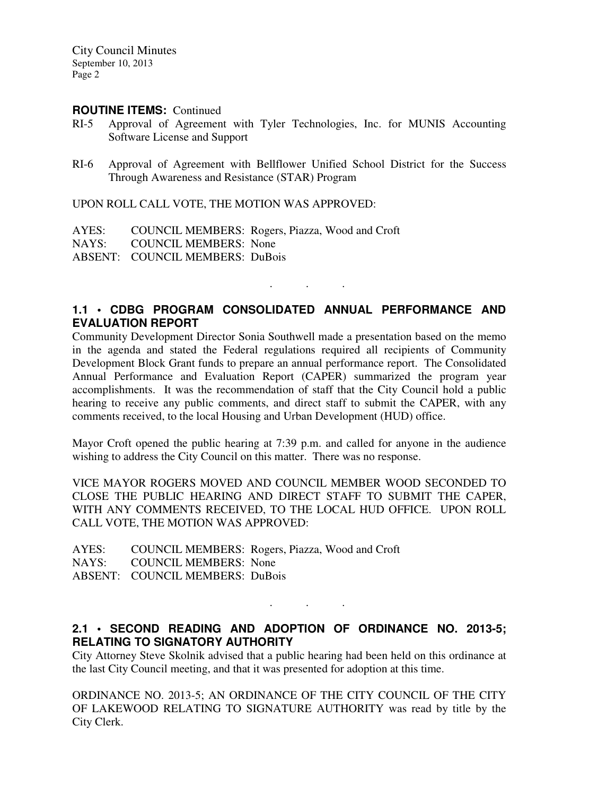#### **ROUTINE ITEMS:** Continued

- RI-5 Approval of Agreement with Tyler Technologies, Inc. for MUNIS Accounting Software License and Support
- RI-6 Approval of Agreement with Bellflower Unified School District for the Success Through Awareness and Resistance (STAR) Program

UPON ROLL CALL VOTE, THE MOTION WAS APPROVED:

AYES: COUNCIL MEMBERS: Rogers, Piazza, Wood and Croft

NAYS: COUNCIL MEMBERS: None

ABSENT: COUNCIL MEMBERS: DuBois

# **1.1 • CDBG PROGRAM CONSOLIDATED ANNUAL PERFORMANCE AND EVALUATION REPORT**

. . .

Community Development Director Sonia Southwell made a presentation based on the memo in the agenda and stated the Federal regulations required all recipients of Community Development Block Grant funds to prepare an annual performance report. The Consolidated Annual Performance and Evaluation Report (CAPER) summarized the program year accomplishments. It was the recommendation of staff that the City Council hold a public hearing to receive any public comments, and direct staff to submit the CAPER, with any comments received, to the local Housing and Urban Development (HUD) office.

Mayor Croft opened the public hearing at 7:39 p.m. and called for anyone in the audience wishing to address the City Council on this matter. There was no response.

VICE MAYOR ROGERS MOVED AND COUNCIL MEMBER WOOD SECONDED TO CLOSE THE PUBLIC HEARING AND DIRECT STAFF TO SUBMIT THE CAPER, WITH ANY COMMENTS RECEIVED, TO THE LOCAL HUD OFFICE. UPON ROLL CALL VOTE, THE MOTION WAS APPROVED:

AYES: COUNCIL MEMBERS: Rogers, Piazza, Wood and Croft NAYS: COUNCIL MEMBERS: None ABSENT: COUNCIL MEMBERS: DuBois

## **2.1 • SECOND READING AND ADOPTION OF ORDINANCE NO. 2013-5; RELATING TO SIGNATORY AUTHORITY**

. . .

City Attorney Steve Skolnik advised that a public hearing had been held on this ordinance at the last City Council meeting, and that it was presented for adoption at this time.

ORDINANCE NO. 2013-5; AN ORDINANCE OF THE CITY COUNCIL OF THE CITY OF LAKEWOOD RELATING TO SIGNATURE AUTHORITY was read by title by the City Clerk.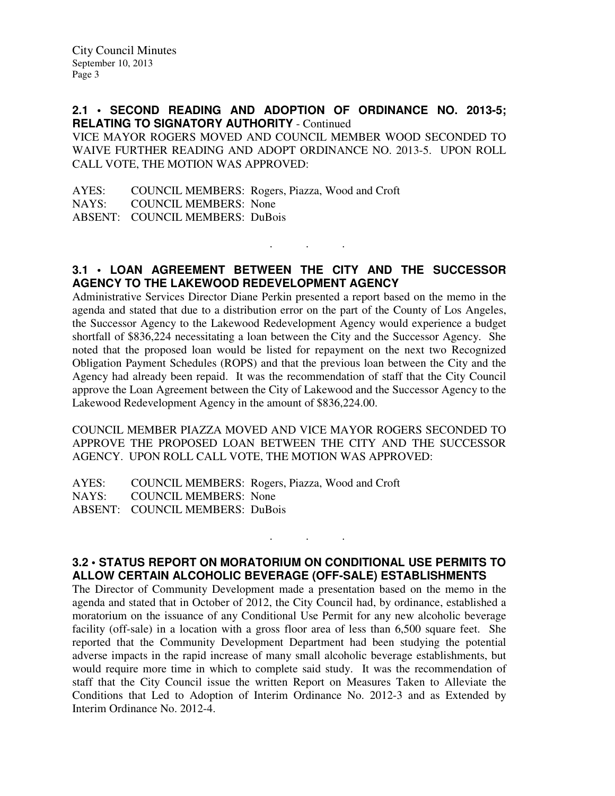**2.1 • SECOND READING AND ADOPTION OF ORDINANCE NO. 2013-5; RELATING TO SIGNATORY AUTHORITY** - Continued

VICE MAYOR ROGERS MOVED AND COUNCIL MEMBER WOOD SECONDED TO WAIVE FURTHER READING AND ADOPT ORDINANCE NO. 2013-5. UPON ROLL CALL VOTE, THE MOTION WAS APPROVED:

AYES: COUNCIL MEMBERS: Rogers, Piazza, Wood and Croft NAYS: COUNCIL MEMBERS: None ABSENT: COUNCIL MEMBERS: DuBois

# **3.1 • LOAN AGREEMENT BETWEEN THE CITY AND THE SUCCESSOR AGENCY TO THE LAKEWOOD REDEVELOPMENT AGENCY**

. . .

Administrative Services Director Diane Perkin presented a report based on the memo in the agenda and stated that due to a distribution error on the part of the County of Los Angeles, the Successor Agency to the Lakewood Redevelopment Agency would experience a budget shortfall of \$836,224 necessitating a loan between the City and the Successor Agency. She noted that the proposed loan would be listed for repayment on the next two Recognized Obligation Payment Schedules (ROPS) and that the previous loan between the City and the Agency had already been repaid. It was the recommendation of staff that the City Council approve the Loan Agreement between the City of Lakewood and the Successor Agency to the Lakewood Redevelopment Agency in the amount of \$836,224.00.

COUNCIL MEMBER PIAZZA MOVED AND VICE MAYOR ROGERS SECONDED TO APPROVE THE PROPOSED LOAN BETWEEN THE CITY AND THE SUCCESSOR AGENCY. UPON ROLL CALL VOTE, THE MOTION WAS APPROVED:

AYES: COUNCIL MEMBERS: Rogers, Piazza, Wood and Croft NAYS: COUNCIL MEMBERS: None ABSENT: COUNCIL MEMBERS: DuBois

# **3.2 • STATUS REPORT ON MORATORIUM ON CONDITIONAL USE PERMITS TO ALLOW CERTAIN ALCOHOLIC BEVERAGE (OFF-SALE) ESTABLISHMENTS**

. . .

The Director of Community Development made a presentation based on the memo in the agenda and stated that in October of 2012, the City Council had, by ordinance, established a moratorium on the issuance of any Conditional Use Permit for any new alcoholic beverage facility (off-sale) in a location with a gross floor area of less than 6,500 square feet. She reported that the Community Development Department had been studying the potential adverse impacts in the rapid increase of many small alcoholic beverage establishments, but would require more time in which to complete said study. It was the recommendation of staff that the City Council issue the written Report on Measures Taken to Alleviate the Conditions that Led to Adoption of Interim Ordinance No. 2012-3 and as Extended by Interim Ordinance No. 2012-4.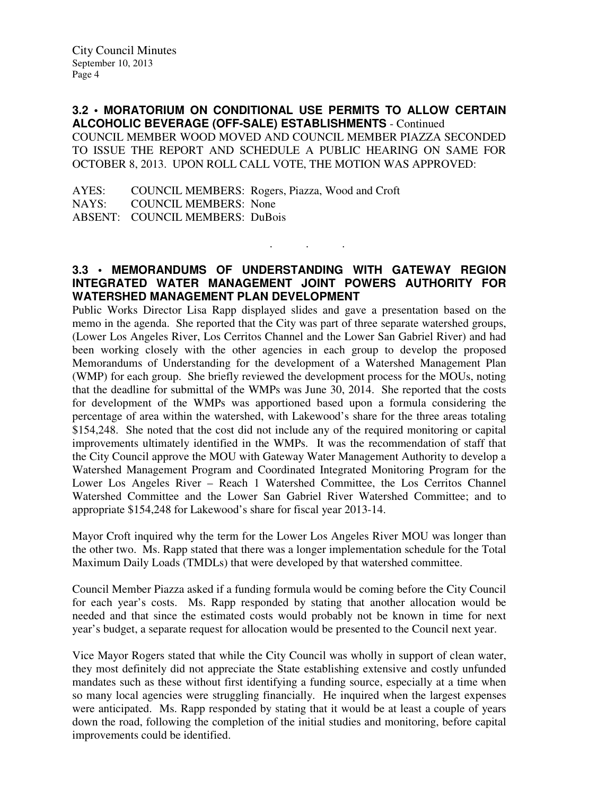**3.2 • MORATORIUM ON CONDITIONAL USE PERMITS TO ALLOW CERTAIN ALCOHOLIC BEVERAGE (OFF-SALE) ESTABLISHMENTS** - Continued COUNCIL MEMBER WOOD MOVED AND COUNCIL MEMBER PIAZZA SECONDED TO ISSUE THE REPORT AND SCHEDULE A PUBLIC HEARING ON SAME FOR OCTOBER 8, 2013. UPON ROLL CALL VOTE, THE MOTION WAS APPROVED:

AYES: COUNCIL MEMBERS: Rogers, Piazza, Wood and Croft NAYS: COUNCIL MEMBERS: None ABSENT: COUNCIL MEMBERS: DuBois

# **3.3 • MEMORANDUMS OF UNDERSTANDING WITH GATEWAY REGION INTEGRATED WATER MANAGEMENT JOINT POWERS AUTHORITY FOR WATERSHED MANAGEMENT PLAN DEVELOPMENT**

. . .

Public Works Director Lisa Rapp displayed slides and gave a presentation based on the memo in the agenda. She reported that the City was part of three separate watershed groups, (Lower Los Angeles River, Los Cerritos Channel and the Lower San Gabriel River) and had been working closely with the other agencies in each group to develop the proposed Memorandums of Understanding for the development of a Watershed Management Plan (WMP) for each group. She briefly reviewed the development process for the MOUs, noting that the deadline for submittal of the WMPs was June 30, 2014. She reported that the costs for development of the WMPs was apportioned based upon a formula considering the percentage of area within the watershed, with Lakewood's share for the three areas totaling \$154,248. She noted that the cost did not include any of the required monitoring or capital improvements ultimately identified in the WMPs. It was the recommendation of staff that the City Council approve the MOU with Gateway Water Management Authority to develop a Watershed Management Program and Coordinated Integrated Monitoring Program for the Lower Los Angeles River – Reach 1 Watershed Committee, the Los Cerritos Channel Watershed Committee and the Lower San Gabriel River Watershed Committee; and to appropriate \$154,248 for Lakewood's share for fiscal year 2013-14.

Mayor Croft inquired why the term for the Lower Los Angeles River MOU was longer than the other two. Ms. Rapp stated that there was a longer implementation schedule for the Total Maximum Daily Loads (TMDLs) that were developed by that watershed committee.

Council Member Piazza asked if a funding formula would be coming before the City Council for each year's costs. Ms. Rapp responded by stating that another allocation would be needed and that since the estimated costs would probably not be known in time for next year's budget, a separate request for allocation would be presented to the Council next year.

Vice Mayor Rogers stated that while the City Council was wholly in support of clean water, they most definitely did not appreciate the State establishing extensive and costly unfunded mandates such as these without first identifying a funding source, especially at a time when so many local agencies were struggling financially. He inquired when the largest expenses were anticipated. Ms. Rapp responded by stating that it would be at least a couple of years down the road, following the completion of the initial studies and monitoring, before capital improvements could be identified.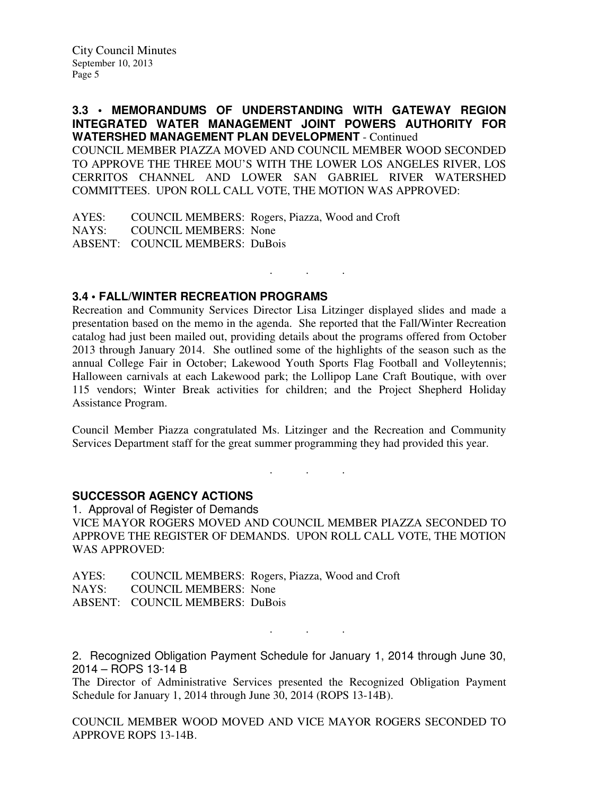## **3.3 • MEMORANDUMS OF UNDERSTANDING WITH GATEWAY REGION INTEGRATED WATER MANAGEMENT JOINT POWERS AUTHORITY FOR WATERSHED MANAGEMENT PLAN DEVELOPMENT** - Continued

COUNCIL MEMBER PIAZZA MOVED AND COUNCIL MEMBER WOOD SECONDED TO APPROVE THE THREE MOU'S WITH THE LOWER LOS ANGELES RIVER, LOS CERRITOS CHANNEL AND LOWER SAN GABRIEL RIVER WATERSHED COMMITTEES. UPON ROLL CALL VOTE, THE MOTION WAS APPROVED:

AYES: COUNCIL MEMBERS: Rogers, Piazza, Wood and Croft NAYS: COUNCIL MEMBERS: None ABSENT: COUNCIL MEMBERS: DuBois

# **3.4 • FALL/WINTER RECREATION PROGRAMS**

Recreation and Community Services Director Lisa Litzinger displayed slides and made a presentation based on the memo in the agenda. She reported that the Fall/Winter Recreation catalog had just been mailed out, providing details about the programs offered from October 2013 through January 2014. She outlined some of the highlights of the season such as the annual College Fair in October; Lakewood Youth Sports Flag Football and Volleytennis; Halloween carnivals at each Lakewood park; the Lollipop Lane Craft Boutique, with over 115 vendors; Winter Break activities for children; and the Project Shepherd Holiday Assistance Program.

. . .

Council Member Piazza congratulated Ms. Litzinger and the Recreation and Community Services Department staff for the great summer programming they had provided this year.

. . .

#### **SUCCESSOR AGENCY ACTIONS**

1. Approval of Register of Demands VICE MAYOR ROGERS MOVED AND COUNCIL MEMBER PIAZZA SECONDED TO APPROVE THE REGISTER OF DEMANDS. UPON ROLL CALL VOTE, THE MOTION WAS APPROVED:

AYES: COUNCIL MEMBERS: Rogers, Piazza, Wood and Croft NAYS: COUNCIL MEMBERS: None ABSENT: COUNCIL MEMBERS: DuBois

2. Recognized Obligation Payment Schedule for January 1, 2014 through June 30, 2014 – ROPS 13-14 B

. . .

The Director of Administrative Services presented the Recognized Obligation Payment Schedule for January 1, 2014 through June 30, 2014 (ROPS 13-14B).

COUNCIL MEMBER WOOD MOVED AND VICE MAYOR ROGERS SECONDED TO APPROVE ROPS 13-14B.